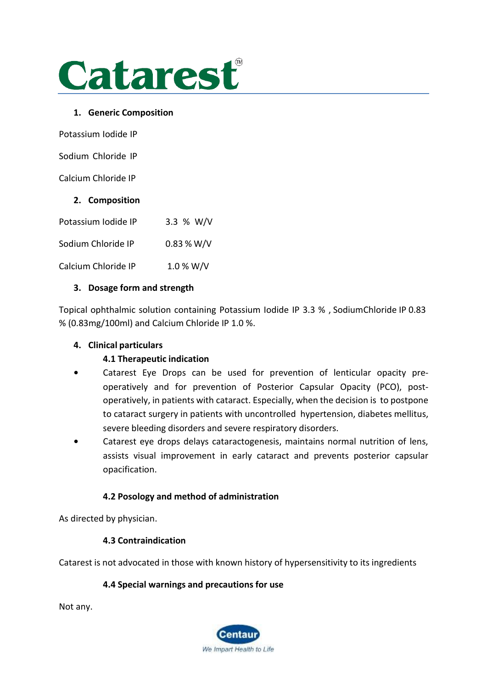

#### **1. Generic Composition**

Potassium Iodide IP

Sodium Chloride IP

Calcium Chloride IP

### **2. Composition**

| Potassium Iodide IP | 3.3 % W/V  |
|---------------------|------------|
| Sodium Chloride IP  | 0.83 % W/V |
| Calcium Chloride IP | 1.0 % W/V  |

#### **3. Dosage form and strength**

Topical ophthalmic solution containing Potassium Iodide IP 3.3 % , SodiumChloride IP 0.83 % (0.83mg/100ml) and Calcium Chloride IP 1.0 %.

#### **4. Clinical particulars**

### **4.1 Therapeutic indication**

- **•** Catarest Eye Drops can be used for prevention of lenticular opacity preoperatively and for prevention of Posterior Capsular Opacity (PCO), postoperatively, in patients with cataract. Especially, when the decision is to postpone to cataract surgery in patients with uncontrolled hypertension, diabetes mellitus, severe bleeding disorders and severe respiratory disorders.
- **•** Catarest eye drops delays cataractogenesis, maintains normal nutrition of lens, assists visual improvement in early cataract and prevents posterior capsular opacification.

### **4.2 Posology and method of administration**

As directed by physician.

### **4.3 Contraindication**

Catarest is not advocated in those with known history of hypersensitivity to its ingredients

### **4.4 Special warnings and precautions for use**

Not any.

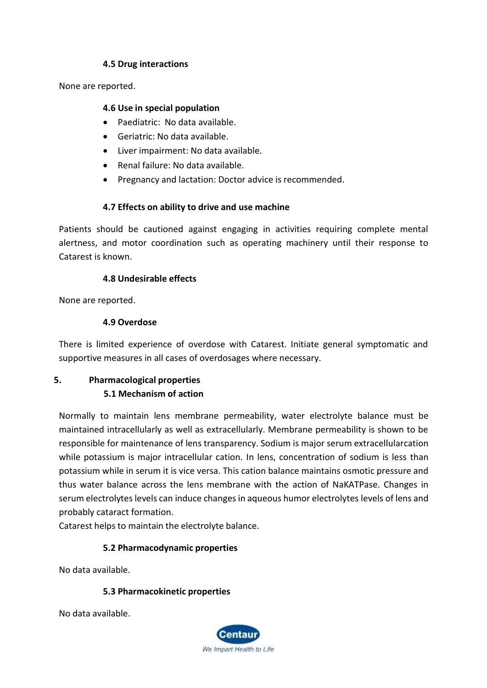#### **4.5 Drug interactions**

None are reported.

#### **4.6 Use in special population**

- Paediatric: No data available.
- Geriatric: No data available.
- Liver impairment: No data available.
- Renal failure: No data available.
- Pregnancy and lactation: Doctor advice is recommended.

### **4.7 Effects on ability to drive and use machine**

Patients should be cautioned against engaging in activities requiring complete mental alertness, and motor coordination such as operating machinery until their response to Catarest is known.

### **4.8 Undesirable effects**

None are reported.

### **4.9 Overdose**

There is limited experience of overdose with Catarest. Initiate general symptomatic and supportive measures in all cases of overdosages where necessary.

# **5. Pharmacological properties 5.1 Mechanism of action**

Normally to maintain lens membrane permeability, water electrolyte balance must be maintained intracellularly as well as extracellularly. Membrane permeability is shown to be responsible for maintenance of lens transparency. Sodium is major serum extracellularcation while potassium is major intracellular cation. In lens, concentration of sodium is less than potassium while in serum it is vice versa. This cation balance maintains osmotic pressure and thus water balance across the lens membrane with the action of NaKATPase. Changes in serum electrolytes levels can induce changes in aqueous humor electrolytes levels of lens and probably cataract formation.

Catarest helps to maintain the electrolyte balance.

### **5.2 Pharmacodynamic properties**

No data available.

### **5.3 Pharmacokinetic properties**

No data available.

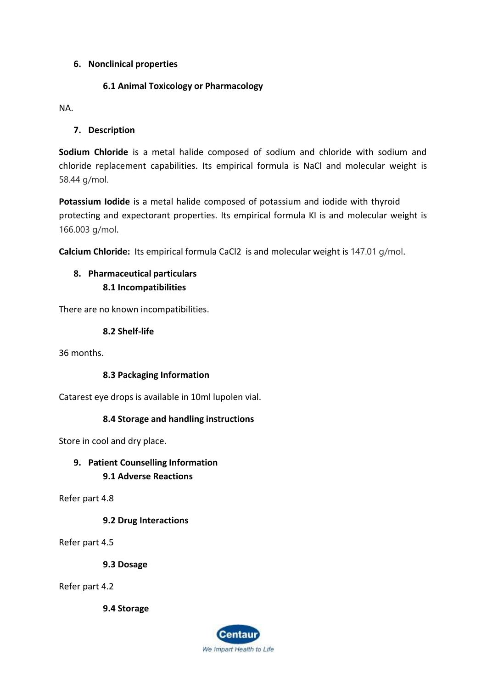#### **6. Nonclinical properties**

#### **6.1 Animal Toxicology or Pharmacology**

NA.

#### **7. Description**

**Sodium Chloride** is a metal halide composed of sodium and chloride with sodium and chloride replacement capabilities. Its empirical formula is NaCl and molecular weight is 58.44 g/mol.

**Potassium Iodide** is a metal halide composed of potassium and iodide with thyroid protecting and expectorant properties. Its empirical formula KI is and molecular weight is 166.003 g/mol.

**Calcium Chloride:** Its empirical formula CaCl2 is and molecular weight is 147.01 g/mol.

## **8. Pharmaceutical particulars 8.1 Incompatibilities**

There are no known incompatibilities.

#### **8.2 Shelf-life**

36 months.

### **8.3 Packaging Information**

Catarest eye drops is available in 10ml lupolen vial.

#### **8.4 Storage and handling instructions**

Store in cool and dry place.

### **9. Patient Counselling Information 9.1 Adverse Reactions**

Refer part 4.8

**9.2 Drug Interactions**

Refer part 4.5

**9.3 Dosage**

Refer part 4.2

**9.4 Storage**